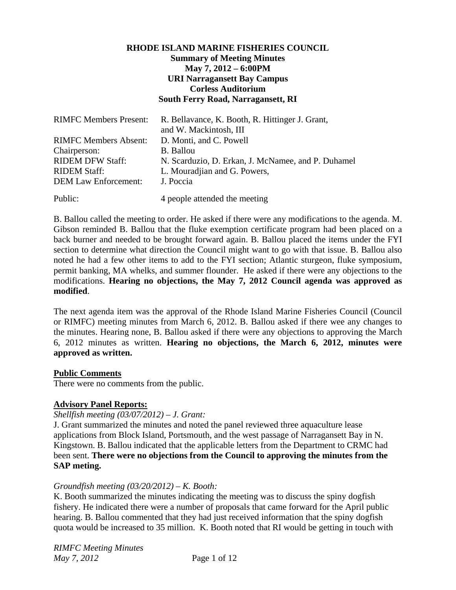# **RHODE ISLAND MARINE FISHERIES COUNCIL Summary of Meeting Minutes May 7, 2012 – 6:00PM URI Narragansett Bay Campus Corless Auditorium South Ferry Road, Narragansett, RI**

| <b>RIMFC Members Present:</b> | R. Bellavance, K. Booth, R. Hittinger J. Grant,<br>and W. Mackintosh, III |
|-------------------------------|---------------------------------------------------------------------------|
|                               |                                                                           |
| <b>RIMFC Members Absent:</b>  | D. Monti, and C. Powell                                                   |
| Chairperson:                  | <b>B.</b> Ballou                                                          |
| <b>RIDEM DFW Staff:</b>       | N. Scarduzio, D. Erkan, J. McNamee, and P. Duhamel                        |
| <b>RIDEM Staff:</b>           | L. Mouradjian and G. Powers,                                              |
| <b>DEM Law Enforcement:</b>   | J. Poccia                                                                 |
| Public:                       | 4 people attended the meeting                                             |

B. Ballou called the meeting to order. He asked if there were any modifications to the agenda. M. Gibson reminded B. Ballou that the fluke exemption certificate program had been placed on a back burner and needed to be brought forward again. B. Ballou placed the items under the FYI section to determine what direction the Council might want to go with that issue. B. Ballou also noted he had a few other items to add to the FYI section; Atlantic sturgeon, fluke symposium, permit banking, MA whelks, and summer flounder. He asked if there were any objections to the modifications. **Hearing no objections, the May 7, 2012 Council agenda was approved as modified**.

The next agenda item was the approval of the Rhode Island Marine Fisheries Council (Council or RIMFC) meeting minutes from March 6, 2012. B. Ballou asked if there wee any changes to the minutes. Hearing none, B. Ballou asked if there were any objections to approving the March 6, 2012 minutes as written. **Hearing no objections, the March 6, 2012, minutes were approved as written.** 

#### **Public Comments**

There were no comments from the public.

#### **Advisory Panel Reports:**

#### *Shellfish meeting (03/07/2012) – J. Grant:*

J. Grant summarized the minutes and noted the panel reviewed three aquaculture lease applications from Block Island, Portsmouth, and the west passage of Narragansett Bay in N. Kingstown. B. Ballou indicated that the applicable letters from the Department to CRMC had been sent. **There were no objections from the Council to approving the minutes from the SAP meting.** 

#### *Groundfish meeting (03/20/2012) – K. Booth:*

K. Booth summarized the minutes indicating the meeting was to discuss the spiny dogfish fishery. He indicated there were a number of proposals that came forward for the April public hearing. B. Ballou commented that they had just received information that the spiny dogfish quota would be increased to 35 million. K. Booth noted that RI would be getting in touch with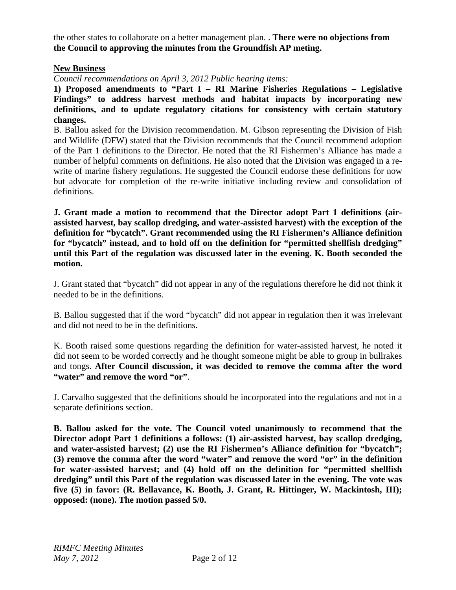the other states to collaborate on a better management plan. . **There were no objections from the Council to approving the minutes from the Groundfish AP meting.** 

### **New Business**

*Council recommendations on April 3, 2012 Public hearing items:* 

**1) Proposed amendments to "Part I – RI Marine Fisheries Regulations – Legislative Findings" to address harvest methods and habitat impacts by incorporating new definitions, and to update regulatory citations for consistency with certain statutory changes.** 

B. Ballou asked for the Division recommendation. M. Gibson representing the Division of Fish and Wildlife (DFW) stated that the Division recommends that the Council recommend adoption of the Part 1 definitions to the Director. He noted that the RI Fishermen's Alliance has made a number of helpful comments on definitions. He also noted that the Division was engaged in a rewrite of marine fishery regulations. He suggested the Council endorse these definitions for now but advocate for completion of the re-write initiative including review and consolidation of definitions.

**J. Grant made a motion to recommend that the Director adopt Part 1 definitions (airassisted harvest, bay scallop dredging, and water-assisted harvest) with the exception of the definition for "bycatch". Grant recommended using the RI Fishermen's Alliance definition for "bycatch" instead, and to hold off on the definition for "permitted shellfish dredging" until this Part of the regulation was discussed later in the evening. K. Booth seconded the motion.** 

J. Grant stated that "bycatch" did not appear in any of the regulations therefore he did not think it needed to be in the definitions.

B. Ballou suggested that if the word "bycatch" did not appear in regulation then it was irrelevant and did not need to be in the definitions.

K. Booth raised some questions regarding the definition for water-assisted harvest, he noted it did not seem to be worded correctly and he thought someone might be able to group in bullrakes and tongs. **After Council discussion, it was decided to remove the comma after the word "water" and remove the word "or"**.

J. Carvalho suggested that the definitions should be incorporated into the regulations and not in a separate definitions section.

**B. Ballou asked for the vote. The Council voted unanimously to recommend that the Director adopt Part 1 definitions a follows: (1) air-assisted harvest, bay scallop dredging, and water-assisted harvest; (2) use the RI Fishermen's Alliance definition for "bycatch"; (3) remove the comma after the word "water" and remove the word "or" in the definition for water-assisted harvest; and (4) hold off on the definition for "permitted shellfish dredging" until this Part of the regulation was discussed later in the evening. The vote was five (5) in favor: (R. Bellavance, K. Booth, J. Grant, R. Hittinger, W. Mackintosh, III); opposed: (none). The motion passed 5/0.**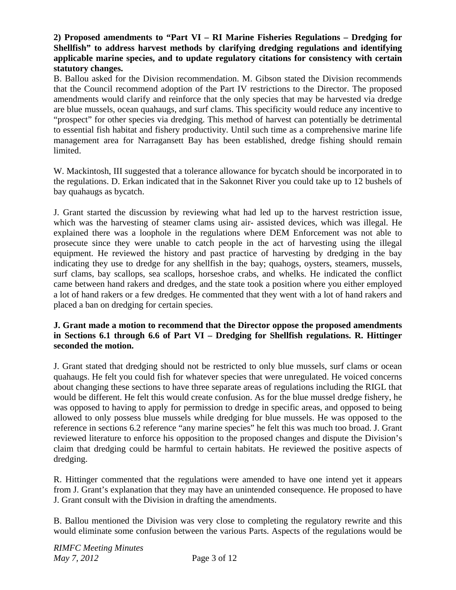# **2) Proposed amendments to "Part VI – RI Marine Fisheries Regulations – Dredging for Shellfish" to address harvest methods by clarifying dredging regulations and identifying applicable marine species, and to update regulatory citations for consistency with certain statutory changes.**

B. Ballou asked for the Division recommendation. M. Gibson stated the Division recommends that the Council recommend adoption of the Part IV restrictions to the Director. The proposed amendments would clarify and reinforce that the only species that may be harvested via dredge are blue mussels, ocean quahaugs, and surf clams. This specificity would reduce any incentive to "prospect" for other species via dredging. This method of harvest can potentially be detrimental to essential fish habitat and fishery productivity. Until such time as a comprehensive marine life management area for Narragansett Bay has been established, dredge fishing should remain limited.

W. Mackintosh, III suggested that a tolerance allowance for bycatch should be incorporated in to the regulations. D. Erkan indicated that in the Sakonnet River you could take up to 12 bushels of bay quahaugs as bycatch.

J. Grant started the discussion by reviewing what had led up to the harvest restriction issue, which was the harvesting of steamer clams using air- assisted devices, which was illegal. He explained there was a loophole in the regulations where DEM Enforcement was not able to prosecute since they were unable to catch people in the act of harvesting using the illegal equipment. He reviewed the history and past practice of harvesting by dredging in the bay indicating they use to dredge for any shellfish in the bay; quahogs, oysters, steamers, mussels, surf clams, bay scallops, sea scallops, horseshoe crabs, and whelks. He indicated the conflict came between hand rakers and dredges, and the state took a position where you either employed a lot of hand rakers or a few dredges. He commented that they went with a lot of hand rakers and placed a ban on dredging for certain species.

### **J. Grant made a motion to recommend that the Director oppose the proposed amendments in Sections 6.1 through 6.6 of Part VI – Dredging for Shellfish regulations. R. Hittinger seconded the motion.**

J. Grant stated that dredging should not be restricted to only blue mussels, surf clams or ocean quahaugs. He felt you could fish for whatever species that were unregulated. He voiced concerns about changing these sections to have three separate areas of regulations including the RIGL that would be different. He felt this would create confusion. As for the blue mussel dredge fishery, he was opposed to having to apply for permission to dredge in specific areas, and opposed to being allowed to only possess blue mussels while dredging for blue mussels. He was opposed to the reference in sections 6.2 reference "any marine species" he felt this was much too broad. J. Grant reviewed literature to enforce his opposition to the proposed changes and dispute the Division's claim that dredging could be harmful to certain habitats. He reviewed the positive aspects of dredging.

R. Hittinger commented that the regulations were amended to have one intend yet it appears from J. Grant's explanation that they may have an unintended consequence. He proposed to have J. Grant consult with the Division in drafting the amendments.

B. Ballou mentioned the Division was very close to completing the regulatory rewrite and this would eliminate some confusion between the various Parts. Aspects of the regulations would be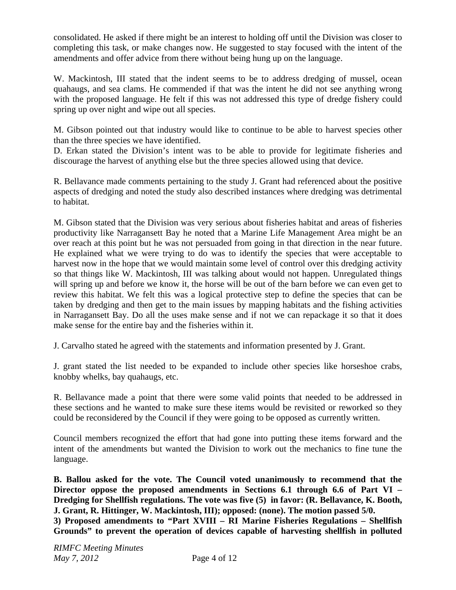consolidated. He asked if there might be an interest to holding off until the Division was closer to completing this task, or make changes now. He suggested to stay focused with the intent of the amendments and offer advice from there without being hung up on the language.

W. Mackintosh, III stated that the indent seems to be to address dredging of mussel, ocean quahaugs, and sea clams. He commended if that was the intent he did not see anything wrong with the proposed language. He felt if this was not addressed this type of dredge fishery could spring up over night and wipe out all species.

M. Gibson pointed out that industry would like to continue to be able to harvest species other than the three species we have identified.

D. Erkan stated the Division's intent was to be able to provide for legitimate fisheries and discourage the harvest of anything else but the three species allowed using that device.

R. Bellavance made comments pertaining to the study J. Grant had referenced about the positive aspects of dredging and noted the study also described instances where dredging was detrimental to habitat.

M. Gibson stated that the Division was very serious about fisheries habitat and areas of fisheries productivity like Narragansett Bay he noted that a Marine Life Management Area might be an over reach at this point but he was not persuaded from going in that direction in the near future. He explained what we were trying to do was to identify the species that were acceptable to harvest now in the hope that we would maintain some level of control over this dredging activity so that things like W. Mackintosh, III was talking about would not happen. Unregulated things will spring up and before we know it, the horse will be out of the barn before we can even get to review this habitat. We felt this was a logical protective step to define the species that can be taken by dredging and then get to the main issues by mapping habitats and the fishing activities in Narragansett Bay. Do all the uses make sense and if not we can repackage it so that it does make sense for the entire bay and the fisheries within it.

J. Carvalho stated he agreed with the statements and information presented by J. Grant.

J. grant stated the list needed to be expanded to include other species like horseshoe crabs, knobby whelks, bay quahaugs, etc.

R. Bellavance made a point that there were some valid points that needed to be addressed in these sections and he wanted to make sure these items would be revisited or reworked so they could be reconsidered by the Council if they were going to be opposed as currently written.

Council members recognized the effort that had gone into putting these items forward and the intent of the amendments but wanted the Division to work out the mechanics to fine tune the language.

**B. Ballou asked for the vote. The Council voted unanimously to recommend that the Director oppose the proposed amendments in Sections 6.1 through 6.6 of Part VI – Dredging for Shellfish regulations. The vote was five (5) in favor: (R. Bellavance, K. Booth, J. Grant, R. Hittinger, W. Mackintosh, III); opposed: (none). The motion passed 5/0. 3) Proposed amendments to "Part XVIII – RI Marine Fisheries Regulations – Shellfish Grounds" to prevent the operation of devices capable of harvesting shellfish in polluted**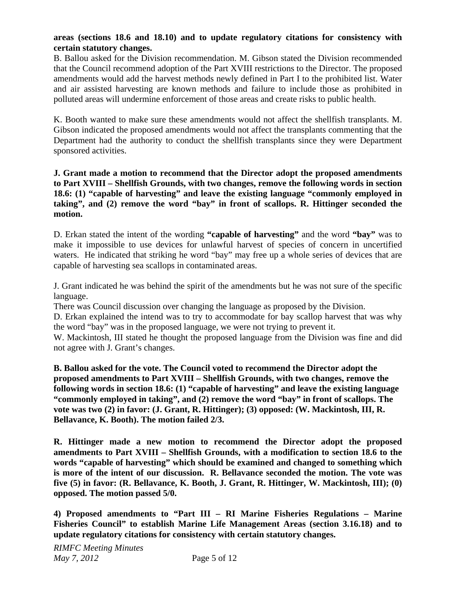# **areas (sections 18.6 and 18.10) and to update regulatory citations for consistency with certain statutory changes.**

B. Ballou asked for the Division recommendation. M. Gibson stated the Division recommended that the Council recommend adoption of the Part XVIII restrictions to the Director. The proposed amendments would add the harvest methods newly defined in Part I to the prohibited list. Water and air assisted harvesting are known methods and failure to include those as prohibited in polluted areas will undermine enforcement of those areas and create risks to public health.

K. Booth wanted to make sure these amendments would not affect the shellfish transplants. M. Gibson indicated the proposed amendments would not affect the transplants commenting that the Department had the authority to conduct the shellfish transplants since they were Department sponsored activities.

## **J. Grant made a motion to recommend that the Director adopt the proposed amendments to Part XVIII – Shellfish Grounds, with two changes, remove the following words in section 18.6: (1) "capable of harvesting" and leave the existing language "commonly employed in taking", and (2) remove the word "bay" in front of scallops. R. Hittinger seconded the motion.**

D. Erkan stated the intent of the wording **"capable of harvesting"** and the word **"bay"** was to make it impossible to use devices for unlawful harvest of species of concern in uncertified waters. He indicated that striking he word "bay" may free up a whole series of devices that are capable of harvesting sea scallops in contaminated areas.

J. Grant indicated he was behind the spirit of the amendments but he was not sure of the specific language.

There was Council discussion over changing the language as proposed by the Division.

D. Erkan explained the intend was to try to accommodate for bay scallop harvest that was why the word "bay" was in the proposed language, we were not trying to prevent it.

W. Mackintosh, III stated he thought the proposed language from the Division was fine and did not agree with J. Grant's changes.

**B. Ballou asked for the vote. The Council voted to recommend the Director adopt the proposed amendments to Part XVIII – Shellfish Grounds, with two changes, remove the following words in section 18.6: (1) "capable of harvesting" and leave the existing language "commonly employed in taking", and (2) remove the word "bay" in front of scallops. The vote was two (2) in favor: (J. Grant, R. Hittinger); (3) opposed: (W. Mackintosh, III, R. Bellavance, K. Booth). The motion failed 2/3.**

**R. Hittinger made a new motion to recommend the Director adopt the proposed amendments to Part XVIII – Shellfish Grounds, with a modification to section 18.6 to the words "capable of harvesting" which should be examined and changed to something which is more of the intent of our discussion. R. Bellavance seconded the motion. The vote was five (5) in favor: (R. Bellavance, K. Booth, J. Grant, R. Hittinger, W. Mackintosh, III); (0) opposed. The motion passed 5/0.** 

**4) Proposed amendments to "Part III – RI Marine Fisheries Regulations – Marine Fisheries Council" to establish Marine Life Management Areas (section 3.16.18) and to update regulatory citations for consistency with certain statutory changes.**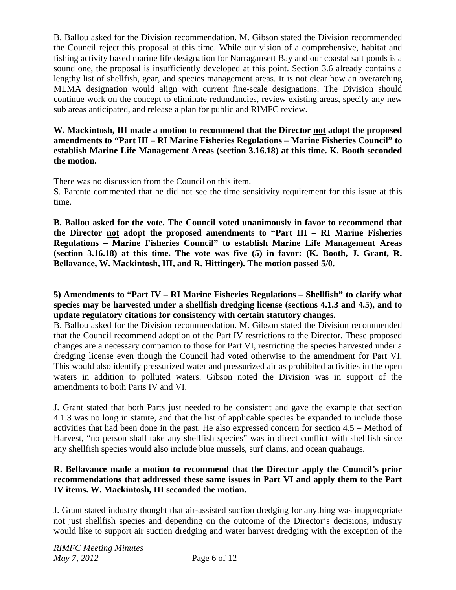B. Ballou asked for the Division recommendation. M. Gibson stated the Division recommended the Council reject this proposal at this time. While our vision of a comprehensive, habitat and fishing activity based marine life designation for Narragansett Bay and our coastal salt ponds is a sound one, the proposal is insufficiently developed at this point. Section 3.6 already contains a lengthy list of shellfish, gear, and species management areas. It is not clear how an overarching MLMA designation would align with current fine-scale designations. The Division should continue work on the concept to eliminate redundancies, review existing areas, specify any new sub areas anticipated, and release a plan for public and RIMFC review.

**W. Mackintosh, III made a motion to recommend that the Director not adopt the proposed amendments to "Part III – RI Marine Fisheries Regulations – Marine Fisheries Council" to establish Marine Life Management Areas (section 3.16.18) at this time. K. Booth seconded the motion.**

There was no discussion from the Council on this item.

S. Parente commented that he did not see the time sensitivity requirement for this issue at this time.

**B. Ballou asked for the vote. The Council voted unanimously in favor to recommend that the Director not adopt the proposed amendments to "Part III – RI Marine Fisheries Regulations – Marine Fisheries Council" to establish Marine Life Management Areas (section 3.16.18) at this time. The vote was five (5) in favor: (K. Booth, J. Grant, R. Bellavance, W. Mackintosh, III, and R. Hittinger). The motion passed 5/0.** 

## **5) Amendments to "Part IV – RI Marine Fisheries Regulations – Shellfish" to clarify what species may be harvested under a shellfish dredging license (sections 4.1.3 and 4.5), and to update regulatory citations for consistency with certain statutory changes.**

B. Ballou asked for the Division recommendation. M. Gibson stated the Division recommended that the Council recommend adoption of the Part IV restrictions to the Director. These proposed changes are a necessary companion to those for Part VI, restricting the species harvested under a dredging license even though the Council had voted otherwise to the amendment for Part VI. This would also identify pressurized water and pressurized air as prohibited activities in the open waters in addition to polluted waters. Gibson noted the Division was in support of the amendments to both Parts IV and VI.

J. Grant stated that both Parts just needed to be consistent and gave the example that section 4.1.3 was no long in statute, and that the list of applicable species be expanded to include those activities that had been done in the past. He also expressed concern for section 4.5 – Method of Harvest, "no person shall take any shellfish species" was in direct conflict with shellfish since any shellfish species would also include blue mussels, surf clams, and ocean quahaugs.

# **R. Bellavance made a motion to recommend that the Director apply the Council's prior recommendations that addressed these same issues in Part VI and apply them to the Part IV items. W. Mackintosh, III seconded the motion.**

J. Grant stated industry thought that air-assisted suction dredging for anything was inappropriate not just shellfish species and depending on the outcome of the Director's decisions, industry would like to support air suction dredging and water harvest dredging with the exception of the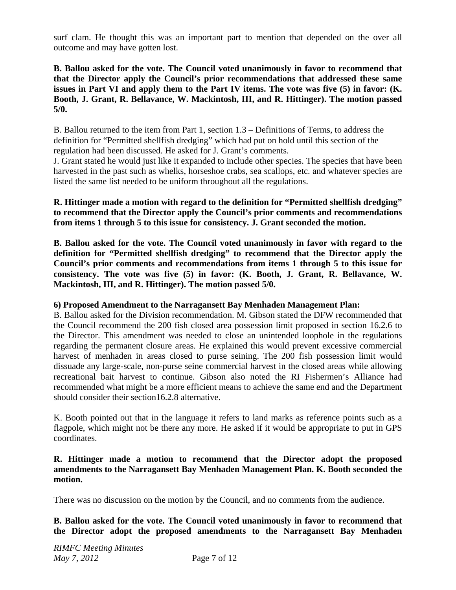surf clam. He thought this was an important part to mention that depended on the over all outcome and may have gotten lost.

**B. Ballou asked for the vote. The Council voted unanimously in favor to recommend that that the Director apply the Council's prior recommendations that addressed these same issues in Part VI and apply them to the Part IV items. The vote was five (5) in favor: (K. Booth, J. Grant, R. Bellavance, W. Mackintosh, III, and R. Hittinger). The motion passed 5/0.** 

B. Ballou returned to the item from Part 1, section 1.3 – Definitions of Terms, to address the definition for "Permitted shellfish dredging" which had put on hold until this section of the regulation had been discussed. He asked for J. Grant's comments.

J. Grant stated he would just like it expanded to include other species. The species that have been harvested in the past such as whelks, horseshoe crabs, sea scallops, etc. and whatever species are listed the same list needed to be uniform throughout all the regulations.

**R. Hittinger made a motion with regard to the definition for "Permitted shellfish dredging" to recommend that the Director apply the Council's prior comments and recommendations from items 1 through 5 to this issue for consistency. J. Grant seconded the motion.** 

**B. Ballou asked for the vote. The Council voted unanimously in favor with regard to the definition for "Permitted shellfish dredging" to recommend that the Director apply the Council's prior comments and recommendations from items 1 through 5 to this issue for consistency. The vote was five (5) in favor: (K. Booth, J. Grant, R. Bellavance, W. Mackintosh, III, and R. Hittinger). The motion passed 5/0.** 

# **6) Proposed Amendment to the Narragansett Bay Menhaden Management Plan:**

B. Ballou asked for the Division recommendation. M. Gibson stated the DFW recommended that the Council recommend the 200 fish closed area possession limit proposed in section 16.2.6 to the Director. This amendment was needed to close an unintended loophole in the regulations regarding the permanent closure areas. He explained this would prevent excessive commercial harvest of menhaden in areas closed to purse seining. The 200 fish possession limit would dissuade any large-scale, non-purse seine commercial harvest in the closed areas while allowing recreational bait harvest to continue. Gibson also noted the RI Fishermen's Alliance had recommended what might be a more efficient means to achieve the same end and the Department should consider their section16.2.8 alternative.

K. Booth pointed out that in the language it refers to land marks as reference points such as a flagpole, which might not be there any more. He asked if it would be appropriate to put in GPS coordinates.

## **R. Hittinger made a motion to recommend that the Director adopt the proposed amendments to the Narragansett Bay Menhaden Management Plan. K. Booth seconded the motion.**

There was no discussion on the motion by the Council, and no comments from the audience.

**B. Ballou asked for the vote. The Council voted unanimously in favor to recommend that the Director adopt the proposed amendments to the Narragansett Bay Menhaden**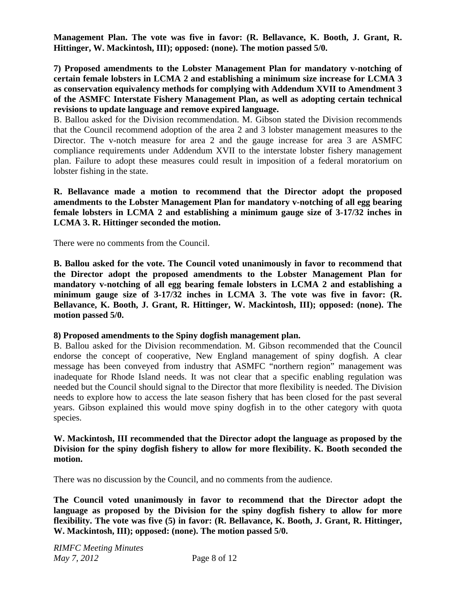**Management Plan. The vote was five in favor: (R. Bellavance, K. Booth, J. Grant, R. Hittinger, W. Mackintosh, III); opposed: (none). The motion passed 5/0.**

**7) Proposed amendments to the Lobster Management Plan for mandatory v-notching of certain female lobsters in LCMA 2 and establishing a minimum size increase for LCMA 3 as conservation equivalency methods for complying with Addendum XVII to Amendment 3 of the ASMFC Interstate Fishery Management Plan, as well as adopting certain technical revisions to update language and remove expired language.** 

B. Ballou asked for the Division recommendation. M. Gibson stated the Division recommends that the Council recommend adoption of the area 2 and 3 lobster management measures to the Director. The v-notch measure for area 2 and the gauge increase for area 3 are ASMFC compliance requirements under Addendum XVII to the interstate lobster fishery management plan. Failure to adopt these measures could result in imposition of a federal moratorium on lobster fishing in the state.

**R. Bellavance made a motion to recommend that the Director adopt the proposed amendments to the Lobster Management Plan for mandatory v-notching of all egg bearing female lobsters in LCMA 2 and establishing a minimum gauge size of 3-17/32 inches in LCMA 3. R. Hittinger seconded the motion.** 

There were no comments from the Council.

**B. Ballou asked for the vote. The Council voted unanimously in favor to recommend that the Director adopt the proposed amendments to the Lobster Management Plan for mandatory v-notching of all egg bearing female lobsters in LCMA 2 and establishing a minimum gauge size of 3-17/32 inches in LCMA 3. The vote was five in favor: (R. Bellavance, K. Booth, J. Grant, R. Hittinger, W. Mackintosh, III); opposed: (none). The motion passed 5/0.**

#### **8) Proposed amendments to the Spiny dogfish management plan.**

B. Ballou asked for the Division recommendation. M. Gibson recommended that the Council endorse the concept of cooperative, New England management of spiny dogfish. A clear message has been conveyed from industry that ASMFC "northern region" management was inadequate for Rhode Island needs. It was not clear that a specific enabling regulation was needed but the Council should signal to the Director that more flexibility is needed. The Division needs to explore how to access the late season fishery that has been closed for the past several years. Gibson explained this would move spiny dogfish in to the other category with quota species.

### **W. Mackintosh, III recommended that the Director adopt the language as proposed by the Division for the spiny dogfish fishery to allow for more flexibility. K. Booth seconded the motion.**

There was no discussion by the Council, and no comments from the audience.

**The Council voted unanimously in favor to recommend that the Director adopt the language as proposed by the Division for the spiny dogfish fishery to allow for more flexibility. The vote was five (5) in favor: (R. Bellavance, K. Booth, J. Grant, R. Hittinger, W. Mackintosh, III); opposed: (none). The motion passed 5/0.**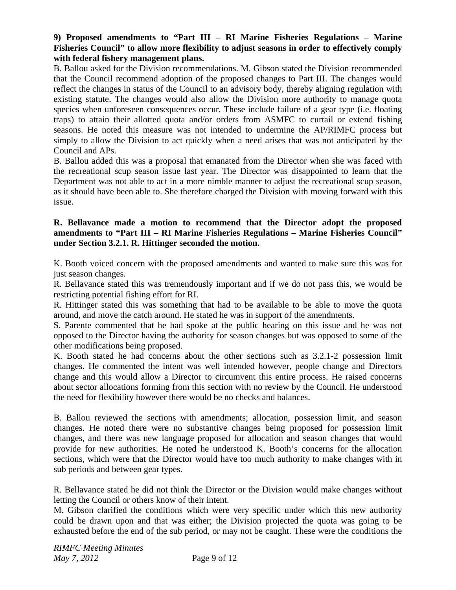## **9) Proposed amendments to "Part III – RI Marine Fisheries Regulations – Marine Fisheries Council" to allow more flexibility to adjust seasons in order to effectively comply with federal fishery management plans.**

B. Ballou asked for the Division recommendations. M. Gibson stated the Division recommended that the Council recommend adoption of the proposed changes to Part III. The changes would reflect the changes in status of the Council to an advisory body, thereby aligning regulation with existing statute. The changes would also allow the Division more authority to manage quota species when unforeseen consequences occur. These include failure of a gear type (i.e. floating traps) to attain their allotted quota and/or orders from ASMFC to curtail or extend fishing seasons. He noted this measure was not intended to undermine the AP/RIMFC process but simply to allow the Division to act quickly when a need arises that was not anticipated by the Council and APs.

B. Ballou added this was a proposal that emanated from the Director when she was faced with the recreational scup season issue last year. The Director was disappointed to learn that the Department was not able to act in a more nimble manner to adjust the recreational scup season, as it should have been able to. She therefore charged the Division with moving forward with this issue.

### **R. Bellavance made a motion to recommend that the Director adopt the proposed amendments to "Part III – RI Marine Fisheries Regulations – Marine Fisheries Council" under Section 3.2.1. R. Hittinger seconded the motion.**

K. Booth voiced concern with the proposed amendments and wanted to make sure this was for just season changes.

R. Bellavance stated this was tremendously important and if we do not pass this, we would be restricting potential fishing effort for RI.

R. Hittinger stated this was something that had to be available to be able to move the quota around, and move the catch around. He stated he was in support of the amendments.

S. Parente commented that he had spoke at the public hearing on this issue and he was not opposed to the Director having the authority for season changes but was opposed to some of the other modifications being proposed.

K. Booth stated he had concerns about the other sections such as 3.2.1-2 possession limit changes. He commented the intent was well intended however, people change and Directors change and this would allow a Director to circumvent this entire process. He raised concerns about sector allocations forming from this section with no review by the Council. He understood the need for flexibility however there would be no checks and balances.

B. Ballou reviewed the sections with amendments; allocation, possession limit, and season changes. He noted there were no substantive changes being proposed for possession limit changes, and there was new language proposed for allocation and season changes that would provide for new authorities. He noted he understood K. Booth's concerns for the allocation sections, which were that the Director would have too much authority to make changes with in sub periods and between gear types.

R. Bellavance stated he did not think the Director or the Division would make changes without letting the Council or others know of their intent.

M. Gibson clarified the conditions which were very specific under which this new authority could be drawn upon and that was either; the Division projected the quota was going to be exhausted before the end of the sub period, or may not be caught. These were the conditions the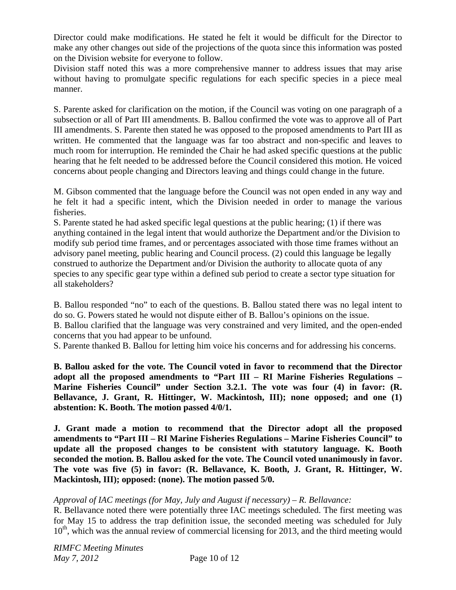Director could make modifications. He stated he felt it would be difficult for the Director to make any other changes out side of the projections of the quota since this information was posted on the Division website for everyone to follow.

Division staff noted this was a more comprehensive manner to address issues that may arise without having to promulgate specific regulations for each specific species in a piece meal manner.

S. Parente asked for clarification on the motion, if the Council was voting on one paragraph of a subsection or all of Part III amendments. B. Ballou confirmed the vote was to approve all of Part III amendments. S. Parente then stated he was opposed to the proposed amendments to Part III as written. He commented that the language was far too abstract and non-specific and leaves to much room for interruption. He reminded the Chair he had asked specific questions at the public hearing that he felt needed to be addressed before the Council considered this motion. He voiced concerns about people changing and Directors leaving and things could change in the future.

M. Gibson commented that the language before the Council was not open ended in any way and he felt it had a specific intent, which the Division needed in order to manage the various fisheries.

S. Parente stated he had asked specific legal questions at the public hearing; (1) if there was anything contained in the legal intent that would authorize the Department and/or the Division to modify sub period time frames, and or percentages associated with those time frames without an advisory panel meeting, public hearing and Council process. (2) could this language be legally construed to authorize the Department and/or Division the authority to allocate quota of any species to any specific gear type within a defined sub period to create a sector type situation for all stakeholders?

B. Ballou responded "no" to each of the questions. B. Ballou stated there was no legal intent to do so. G. Powers stated he would not dispute either of B. Ballou's opinions on the issue.

B. Ballou clarified that the language was very constrained and very limited, and the open-ended concerns that you had appear to be unfound.

S. Parente thanked B. Ballou for letting him voice his concerns and for addressing his concerns.

**B. Ballou asked for the vote. The Council voted in favor to recommend that the Director adopt all the proposed amendments to "Part III – RI Marine Fisheries Regulations – Marine Fisheries Council" under Section 3.2.1. The vote was four (4) in favor: (R. Bellavance, J. Grant, R. Hittinger, W. Mackintosh, III); none opposed; and one (1) abstention: K. Booth. The motion passed 4/0/1.**

**J. Grant made a motion to recommend that the Director adopt all the proposed amendments to "Part III – RI Marine Fisheries Regulations – Marine Fisheries Council" to update all the proposed changes to be consistent with statutory language. K. Booth seconded the motion. B. Ballou asked for the vote. The Council voted unanimously in favor. The vote was five (5) in favor: (R. Bellavance, K. Booth, J. Grant, R. Hittinger, W. Mackintosh, III); opposed: (none). The motion passed 5/0.** 

# *Approval of IAC meetings (for May, July and August if necessary) – R. Bellavance:*

R. Bellavance noted there were potentially three IAC meetings scheduled. The first meeting was for May 15 to address the trap definition issue, the seconded meeting was scheduled for July  $10<sup>th</sup>$ , which was the annual review of commercial licensing for 2013, and the third meeting would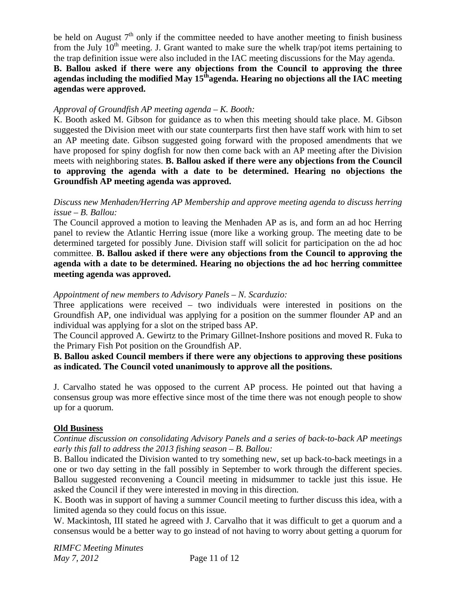be held on August  $7<sup>th</sup>$  only if the committee needed to have another meeting to finish business from the July  $10<sup>th</sup>$  meeting. J. Grant wanted to make sure the whelk trap/pot items pertaining to the trap definition issue were also included in the IAC meeting discussions for the May agenda.

# **B. Ballou asked if there were any objections from the Council to approving the three**  agendas including the modified May 15<sup>th</sup>agenda. Hearing no objections all the IAC meeting **agendas were approved.**

# *Approval of Groundfish AP meeting agenda – K. Booth:*

K. Booth asked M. Gibson for guidance as to when this meeting should take place. M. Gibson suggested the Division meet with our state counterparts first then have staff work with him to set an AP meeting date. Gibson suggested going forward with the proposed amendments that we have proposed for spiny dogfish for now then come back with an AP meeting after the Division meets with neighboring states. **B. Ballou asked if there were any objections from the Council to approving the agenda with a date to be determined. Hearing no objections the Groundfish AP meeting agenda was approved.** 

## *Discuss new Menhaden/Herring AP Membership and approve meeting agenda to discuss herring issue – B. Ballou:*

The Council approved a motion to leaving the Menhaden AP as is, and form an ad hoc Herring panel to review the Atlantic Herring issue (more like a working group. The meeting date to be determined targeted for possibly June. Division staff will solicit for participation on the ad hoc committee. **B. Ballou asked if there were any objections from the Council to approving the agenda with a date to be determined. Hearing no objections the ad hoc herring committee meeting agenda was approved.** 

# *Appointment of new members to Advisory Panels – N. Scarduzio:*

Three applications were received – two individuals were interested in positions on the Groundfish AP, one individual was applying for a position on the summer flounder AP and an individual was applying for a slot on the striped bass AP.

The Council approved A. Gewirtz to the Primary Gillnet-Inshore positions and moved R. Fuka to the Primary Fish Pot position on the Groundfish AP.

### **B. Ballou asked Council members if there were any objections to approving these positions as indicated. The Council voted unanimously to approve all the positions.**

J. Carvalho stated he was opposed to the current AP process. He pointed out that having a consensus group was more effective since most of the time there was not enough people to show up for a quorum.

# **Old Business**

### *Continue discussion on consolidating Advisory Panels and a series of back-to-back AP meetings early this fall to address the 2013 fishing season – B. Ballou:*

B. Ballou indicated the Division wanted to try something new, set up back-to-back meetings in a one or two day setting in the fall possibly in September to work through the different species. Ballou suggested reconvening a Council meeting in midsummer to tackle just this issue. He asked the Council if they were interested in moving in this direction.

K. Booth was in support of having a summer Council meeting to further discuss this idea, with a limited agenda so they could focus on this issue.

W. Mackintosh, III stated he agreed with J. Carvalho that it was difficult to get a quorum and a consensus would be a better way to go instead of not having to worry about getting a quorum for